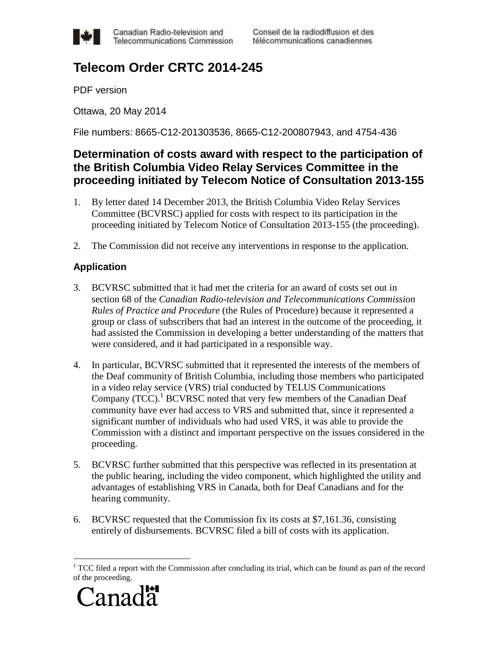

Canadian Radio-television and Telecommunications Commission Conseil de la radiodiffusion et des télécommunications canadiennes

# **Telecom Order CRTC 2014-245**

PDF version

Ottawa, 20 May 2014

File numbers: 8665-C12-201303536, 8665-C12-200807943, and 4754-436

## **Determination of costs award with respect to the participation of the British Columbia Video Relay Services Committee in the proceeding initiated by Telecom Notice of Consultation 2013-155**

- 1. By letter dated 14 December 2013, the British Columbia Video Relay Services Committee (BCVRSC) applied for costs with respect to its participation in the proceeding initiated by Telecom Notice of Consultation 2013-155 (the proceeding).
- 2. The Commission did not receive any interventions in response to the application.

### **Application**

- 3. BCVRSC submitted that it had met the criteria for an award of costs set out in section 68 of the *Canadian Radio-television and Telecommunications Commission Rules of Practice and Procedure* (the Rules of Procedure) because it represented a group or class of subscribers that had an interest in the outcome of the proceeding, it had assisted the Commission in developing a better understanding of the matters that were considered, and it had participated in a responsible way.
- 4. In particular, BCVRSC submitted that it represented the interests of the members of the Deaf community of British Columbia, including those members who participated in a video relay service (VRS) trial conducted by TELUS Communications Company  $(TCC)$ .<sup>1</sup> BCVRSC noted that very few members of the Canadian Deaf community have ever had access to VRS and submitted that, since it represented a significant number of individuals who had used VRS, it was able to provide the Commission with a distinct and important perspective on the issues considered in the proceeding.
- 5. BCVRSC further submitted that this perspective was reflected in its presentation at the public hearing, including the video component, which highlighted the utility and advantages of establishing VRS in Canada, both for Deaf Canadians and for the hearing community.
- 6. BCVRSC requested that the Commission fix its costs at \$7,161.36, consisting entirely of disbursements. BCVRSC filed a bill of costs with its application.

 $<sup>1</sup> TCC$  filed a report with the Commission after concluding its trial, which can be found as part of the record</sup> of the proceeding.



 $\overline{a}$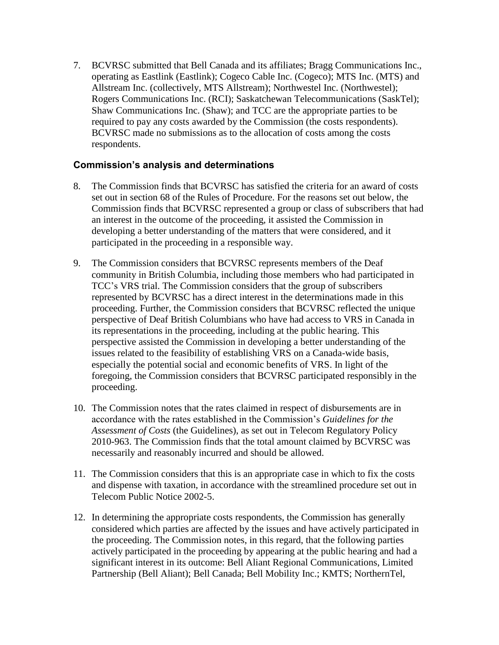7. BCVRSC submitted that Bell Canada and its affiliates; Bragg Communications Inc., operating as Eastlink (Eastlink); Cogeco Cable Inc. (Cogeco); MTS Inc. (MTS) and Allstream Inc. (collectively, MTS Allstream); Northwestel Inc. (Northwestel); Rogers Communications Inc. (RCI); Saskatchewan Telecommunications (SaskTel); Shaw Communications Inc. (Shaw); and TCC are the appropriate parties to be required to pay any costs awarded by the Commission (the costs respondents). BCVRSC made no submissions as to the allocation of costs among the costs respondents.

#### **Commission's analysis and determinations**

- 8. The Commission finds that BCVRSC has satisfied the criteria for an award of costs set out in section 68 of the Rules of Procedure. For the reasons set out below, the Commission finds that BCVRSC represented a group or class of subscribers that had an interest in the outcome of the proceeding, it assisted the Commission in developing a better understanding of the matters that were considered, and it participated in the proceeding in a responsible way.
- 9. The Commission considers that BCVRSC represents members of the Deaf community in British Columbia, including those members who had participated in TCC's VRS trial. The Commission considers that the group of subscribers represented by BCVRSC has a direct interest in the determinations made in this proceeding. Further, the Commission considers that BCVRSC reflected the unique perspective of Deaf British Columbians who have had access to VRS in Canada in its representations in the proceeding, including at the public hearing. This perspective assisted the Commission in developing a better understanding of the issues related to the feasibility of establishing VRS on a Canada-wide basis, especially the potential social and economic benefits of VRS. In light of the foregoing, the Commission considers that BCVRSC participated responsibly in the proceeding.
- 10. The Commission notes that the rates claimed in respect of disbursements are in accordance with the rates established in the Commission's *Guidelines for the Assessment of Costs* (the Guidelines), as set out in Telecom Regulatory Policy 2010-963. The Commission finds that the total amount claimed by BCVRSC was necessarily and reasonably incurred and should be allowed.
- 11. The Commission considers that this is an appropriate case in which to fix the costs and dispense with taxation, in accordance with the streamlined procedure set out in Telecom Public Notice 2002-5.
- 12. In determining the appropriate costs respondents, the Commission has generally considered which parties are affected by the issues and have actively participated in the proceeding. The Commission notes, in this regard, that the following parties actively participated in the proceeding by appearing at the public hearing and had a significant interest in its outcome: Bell Aliant Regional Communications, Limited Partnership (Bell Aliant); Bell Canada; Bell Mobility Inc.; KMTS; NorthernTel,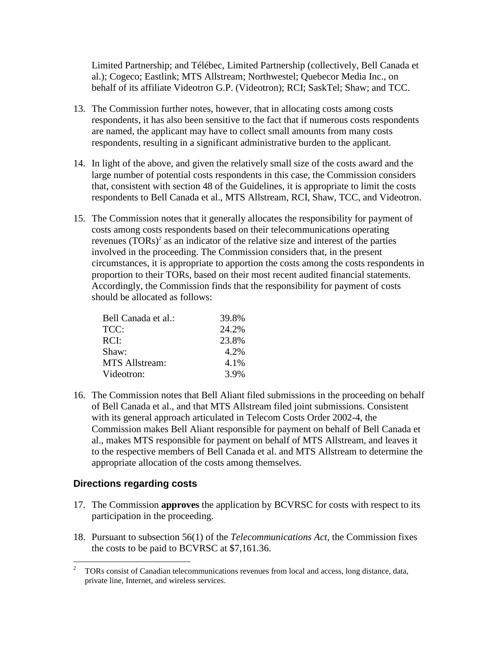Limited Partnership; and Télébec, Limited Partnership (collectively, Bell Canada et al.); Cogeco; Eastlink; MTS Allstream; Northwestel; Quebecor Media Inc., on behalf of its affiliate Videotron G.P. (Videotron); RCI; SaskTel; Shaw; and TCC.

- 13. The Commission further notes, however, that in allocating costs among costs respondents, it has also been sensitive to the fact that if numerous costs respondents are named, the applicant may have to collect small amounts from many costs respondents, resulting in a significant administrative burden to the applicant.
- 14. In light of the above, and given the relatively small size of the costs award and the large number of potential costs respondents in this case, the Commission considers that, consistent with section 48 of the Guidelines, it is appropriate to limit the costs respondents to Bell Canada et al., MTS Allstream, RCI, Shaw, TCC, and Videotron.
- 15. The Commission notes that it generally allocates the responsibility for payment of costs among costs respondents based on their telecommunications operating revenues  $(TORS)^2$  as an indicator of the relative size and interest of the parties involved in the proceeding. The Commission considers that, in the present circumstances, it is appropriate to apportion the costs among the costs respondents in proportion to their TORs, based on their most recent audited financial statements. Accordingly, the Commission finds that the responsibility for payment of costs should be allocated as follows:

| Bell Canada et al.:   | 39.8% |
|-----------------------|-------|
| TCC:                  | 24.2% |
| RCI:                  | 23.8% |
| Shaw:                 | 4.2%  |
| <b>MTS Allstream:</b> | 4.1%  |
| Videotron:            | 3.9%  |

16. The Commission notes that Bell Aliant filed submissions in the proceeding on behalf of Bell Canada et al., and that MTS Allstream filed joint submissions. Consistent with its general approach articulated in Telecom Costs Order 2002-4, the Commission makes Bell Aliant responsible for payment on behalf of Bell Canada et al., makes MTS responsible for payment on behalf of MTS Allstream, and leaves it to the respective members of Bell Canada et al. and MTS Allstream to determine the appropriate allocation of the costs among themselves.

#### **Directions regarding costs**

- 17. The Commission **approves** the application by BCVRSC for costs with respect to its participation in the proceeding.
- 18. Pursuant to subsection 56(1) of the *Telecommunications Act*, the Commission fixes the costs to be paid to BCVRSC at \$7,161.36.

 $\overline{2}$ <sup>2</sup> TORs consist of Canadian telecommunications revenues from local and access, long distance, data, private line, Internet, and wireless services.